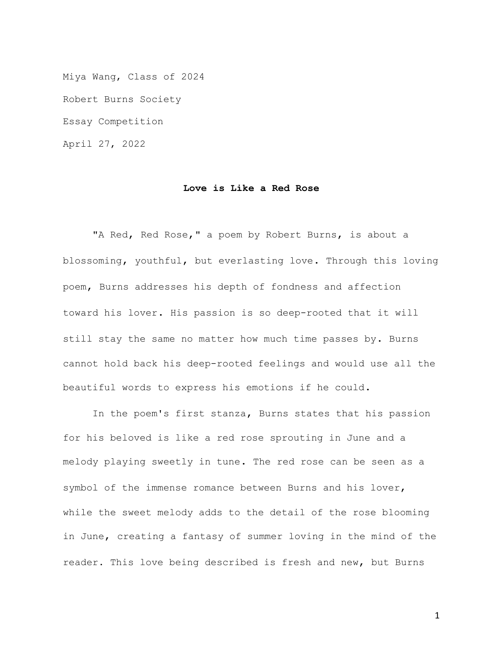Miya Wang, Class of 2024 Robert Burns Society Essay Competition April 27, 2022

## **Love is Like a Red Rose**

"A Red, Red Rose," a poem by Robert Burns, is about a blossoming, youthful, but everlasting love. Through this loving poem, Burns addresses his depth of fondness and affection toward his lover. His passion is so deep-rooted that it will still stay the same no matter how much time passes by. Burns cannot hold back his deep-rooted feelings and would use all the beautiful words to express his emotions if he could.

In the poem's first stanza, Burns states that his passion for his beloved is like a red rose sprouting in June and a melody playing sweetly in tune. The red rose can be seen as a symbol of the immense romance between Burns and his lover, while the sweet melody adds to the detail of the rose blooming in June, creating a fantasy of summer loving in the mind of the reader. This love being described is fresh and new, but Burns

1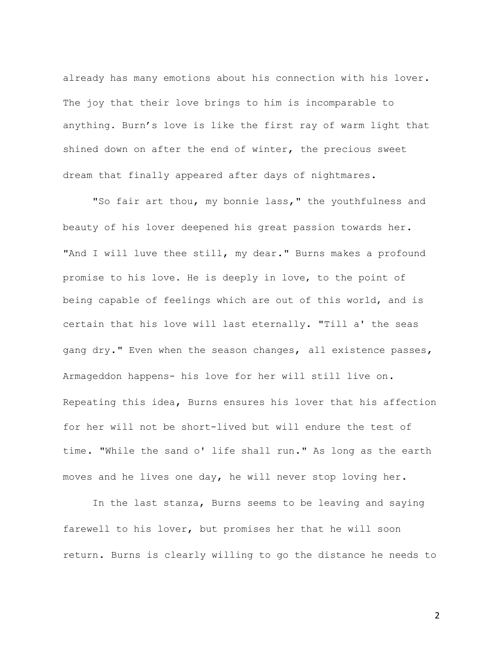already has many emotions about his connection with his lover. The joy that their love brings to him is incomparable to anything. Burn's love is like the first ray of warm light that shined down on after the end of winter, the precious sweet dream that finally appeared after days of nightmares.

"So fair art thou, my bonnie lass," the youthfulness and beauty of his lover deepened his great passion towards her. "And I will luve thee still, my dear." Burns makes a profound promise to his love. He is deeply in love, to the point of being capable of feelings which are out of this world, and is certain that his love will last eternally. "Till a' the seas gang dry." Even when the season changes, all existence passes, Armageddon happens- his love for her will still live on. Repeating this idea, Burns ensures his lover that his affection for her will not be short-lived but will endure the test of time. "While the sand o' life shall run." As long as the earth moves and he lives one day, he will never stop loving her.

In the last stanza, Burns seems to be leaving and saying farewell to his lover, but promises her that he will soon return. Burns is clearly willing to go the distance he needs to

2